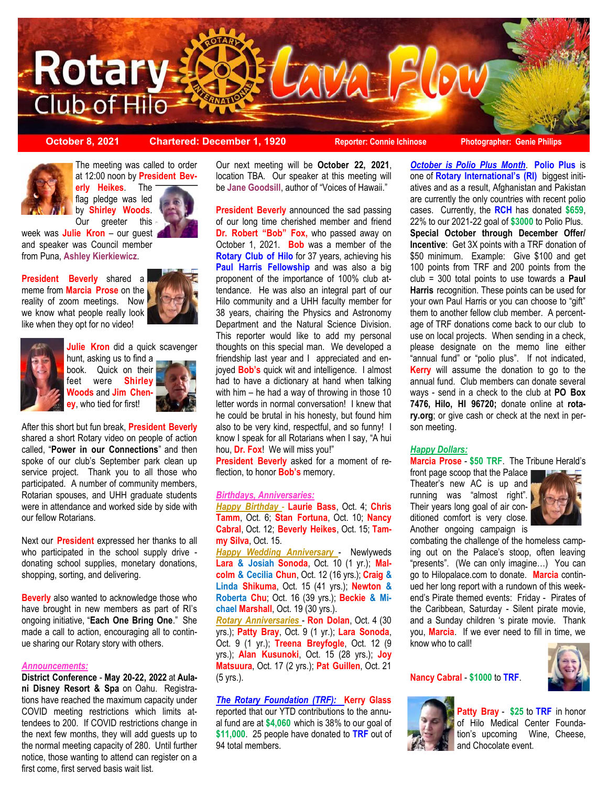

**October 8, 2021 Chartered: December 1, 1920 Reporter: Connie Ichinose Photographer: Genie Philips**



The meeting was called to order at 12:00 noon by **President Bev-**

**erly Heikes**. The flag pledge was led by **Shirley Woods**. Our greeter this

week was **Julie Kron** – our guest and speaker was Council member from Puna, **Ashley Kierkiewicz**.

**President Beverly** shared a meme from **Marcia Prose** on the reality of zoom meetings. Now we know what people really look like when they opt for no video!





**Julie Kron** did a quick scavenger

hunt, asking us to find a book. Quick on their feet were **Shirley Woods** and **Jim Cheney**, who tied for first!



After this short but fun break, **President Beverly** shared a short Rotary video on people of action called, "**Power in our Connections**" and then spoke of our club's September park clean up service project. Thank you to all those who participated. A number of community members, Rotarian spouses, and UHH graduate students were in attendance and worked side by side with our fellow Rotarians.

Next our **President** expressed her thanks to all who participated in the school supply drive donating school supplies, monetary donations, shopping, sorting, and delivering.

**Beverly** also wanted to acknowledge those who have brought in new members as part of RI's ongoing initiative, "**Each One Bring One**." She made a call to action, encouraging all to continue sharing our Rotary story with others.

#### *Announcements:*

**District Conference** - **May 20-22, 2022** at **Aulani Disney Resort & Spa** on Oahu. Registrations have reached the maximum capacity under COVID meeting restrictions which limits attendees to 200. If COVID restrictions change in the next few months, they will add guests up to the normal meeting capacity of 280. Until further notice, those wanting to attend can register on a first come, first served basis wait list.

Our next meeting will be **October 22, 2021**, location TBA. Our speaker at this meeting will be **Jane Goodsill**, author of "Voices of Hawaii."

**President Beverly** announced the sad passing of our long time cherished member and friend **Dr. Robert "Bob" Fox,** who passed away on October 1, 2021. **Bob** was a member of the **Rotary Club of Hilo** for 37 years, achieving his **Paul Harris Fellowship** and was also a big proponent of the importance of 100% club attendance. He was also an integral part of our Hilo community and a UHH faculty member for 38 years, chairing the Physics and Astronomy Department and the Natural Science Division. This reporter would like to add my personal thoughts on this special man. We developed a friendship last year and I appreciated and enjoyed **Bob's** quick wit and intelligence. I almost had to have a dictionary at hand when talking with him – he had a way of throwing in those 10 letter words in normal conversation! I knew that he could be brutal in his honesty, but found him also to be very kind, respectful, and so funny! I know I speak for all Rotarians when I say, "A hui hou, **Dr. Fox**! We will miss you!"

**President Beverly** asked for a moment of reflection, to honor **Bob's** memory.

#### *Birthdays, Anniversaries:*

*Happy Birthday* - **Laurie Bass**, Oct. 4; **Chris Tamm**, Oct. 6; **Stan Fortuna**, Oct. 10; **Nancy Cabral**, Oct. 12; **Beverly Heikes**, Oct. 15; **Tammy Silva**, Oct. 15.

*Happy Wedding Anniversary* - Newlyweds **Lara & Josiah Sonoda**, Oct. 10 (1 yr.); **Malcolm & Cecilia Chun**, Oct. 12 (16 yrs.); **Craig & Linda Shikuma**, Oct. 15 (41 yrs.); **Newton & Roberta Chu**; Oct. 16 (39 yrs.); **Beckie & Michael Marshall**, Oct. 19 (30 yrs.).

*Rotary Anniversaries* - **Ron Dolan**, Oct. 4 (30 yrs.); **Patty Bray**, Oct. 9 (1 yr.); **Lara Sonoda**, Oct. 9 (1 yr.); **Treena Breyfogle**, Oct. 12 (9 yrs.); **Alan Kusunoki**, Oct. 15 (28 yrs.); **Joy Matsuura**, Oct. 17 (2 yrs.); **Pat Guillen**, Oct. 21 (5 yrs.).

#### *The Rotary Foundation (TRF):* **Kerry Glass**

reported that our YTD contributions to the annual fund are at **\$4,060** which is 38% to our goal of **\$11,000**. 25 people have donated to **TRF** out of 94 total members.

*October is Polio Plus Month*. **Polio Plus** is one of **Rotary International's (RI)** biggest initiatives and as a result, Afghanistan and Pakistan are currently the only countries with recent polio cases. Currently, the **RCH** has donated **\$659**, 22% to our 2021-22 goal of **\$3000** to Polio Plus. **Special October through December Offer/ Incentive**: Get 3X points with a TRF donation of \$50 minimum. Example: Give \$100 and get 100 points from TRF and 200 points from the club = 300 total points to use towards a **Paul Harris** recognition. These points can be used for your own Paul Harris or you can choose to "gift" them to another fellow club member. A percentage of TRF donations come back to our club to use on local projects. When sending in a check, please designate on the memo line either "annual fund" or "polio plus". If not indicated, **Kerry** will assume the donation to go to the annual fund. Club members can donate several ways - send in a check to the club at **PO Box 7476, Hilo, HI 96720;** donate online at **rotary.org**; or give cash or check at the next in person meeting.

#### *Happy Dollars:*

**Marcia Prose** - **\$50 TRF**. The Tribune Herald's

front page scoop that the Palace Theater's new AC is up and running was "almost right". Their years long goal of air conditioned comfort is very close. Another ongoing campaign is



combating the challenge of the homeless camping out on the Palace's stoop, often leaving "presents". (We can only imagine…) You can go to Hilopalace.com to donate. **Marcia** continued her long report with a rundown of this weekend's Pirate themed events: Friday - Pirates of the Caribbean, Saturday - Silent pirate movie, and a Sunday children 's pirate movie. Thank you, **Marcia**. If we ever need to fill in time, we know who to call!



#### **Nancy Cabral** - **\$1000** to **TRF**.



**Patty Bray** - **\$25** to **TRF** in honor of Hilo Medical Center Foundation's upcoming Wine, Cheese, and Chocolate event.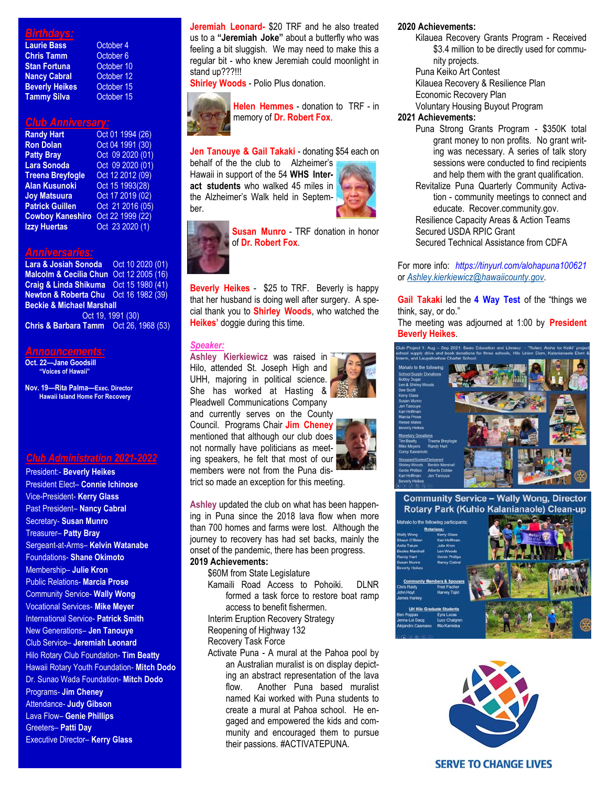#### *Birthdays:*

| <b>Laurie Bass</b>    |  |
|-----------------------|--|
| <b>Chris Tamm</b>     |  |
| Stan Fortuna          |  |
| <b>Nancy Cabral</b>   |  |
| <b>Beverly Heikes</b> |  |
| Tammy Silva           |  |

**October 4 October 6 October 10 October 12 Dctober 15 October 15** 

#### *Club Anniversary:*

| Oct 01 1994 (26) |
|------------------|
| Oct 04 1991 (30) |
| Oct 09 2020 (01) |
| Oct 09 2020 (01) |
| Oct 12 2012 (09) |
| Oct 15 1993(28)  |
| Oct 17 2019 (02) |
| Oct 21 2016 (05) |
| Oct 22 1999 (22) |
| Oct 23 2020 (1)  |
|                  |

#### *Anniversaries:*

| Lara & Josiah Sonoda    Qct 10 2020 (01)         |  |  |
|--------------------------------------------------|--|--|
| Malcolm & Cecilia Chun Oct 12 2005 (16)          |  |  |
| Craig & Linda Shikuma Oct 15 1980 (41)           |  |  |
| <b>Newton &amp; Roberta Chu</b> Oct 16 1982 (39) |  |  |
| <b>Beckie &amp; Michael Marshall</b>             |  |  |
| Oct 19, 1991 (30)                                |  |  |
| Chris & Barbara Tamm Oct 26, 1968 (53)           |  |  |
|                                                  |  |  |

#### *Announcements:*

**Oct. 22—Jane Goodsill "Voices of Hawaii"**

**Nov. 19—Rita Palma—Exec. Director Hawaii Island Home For Recovery**

#### *Club Administration 2021-2022*

President:- **Beverly Heikes**  President Elect– **Connie Ichinose** Vice-President- **Kerry Glass** Past President– **Nancy Cabral** Secretary- **Susan Munro** Treasurer– **Patty Bray** Sergeant-at-Arms– **Kelvin Watanabe** Foundations- **Shane Okimoto** Membership– **Julie Kron** Public Relations- **Marcia Prose** Community Service- **Wally Wong** Vocational Services- **Mike Meyer** International Service- **Patrick Smith** New Generations– **Jen Tanouye** Club Service– **Jeremiah Leonard** Hilo Rotary Club Foundation- **Tim Beatty** Hawaii Rotary Youth Foundation- **Mitch Dodo** Dr. Sunao Wada Foundation- **Mitch Dodo** Programs- **Jim Cheney** Attendance- **Judy Gibson** Lava Flow– **Genie Phillips** Greeters– **Patti Day** Executive Director– **Kerry Glass**

**Jeremiah Leonard-** \$20 TRF and he also treated us to a **"Jeremiah Joke"** about a butterfly who was feeling a bit sluggish. We may need to make this a regular bit - who knew Jeremiah could moonlight in stand up???!!!

**Shirley Woods** - Polio Plus donation.



**Helen Hemmes** - donation to TRF - in memory of **Dr. Robert Fox**.

#### **Jen Tanouye & Gail Takaki** - donating \$54 each on

behalf of the the club to Alzheimer's Hawaii in support of the 54 **WHS Interact students** who walked 45 miles in the Alzheimer's Walk held in September.





**Susan Munro** - TRF donation in honor of **Dr. Robert Fox**.



**Beverly Heikes** - \$25 to TRF. Beverly is happy that her husband is doing well after surgery. A special thank you to **Shirley Woods**, who watched the **Heikes'** doggie during this time.

#### *Speaker:*

**Ashley Kierkiewicz** was raised in Hilo, attended St. Joseph High and UHH, majoring in political science. She has worked at Hasting & Pleadwell Communications Company

and currently serves on the County Council. Programs Chair **Jim Cheney** mentioned that although our club does not normally have politicians as meeting speakers, he felt that most of our members were not from the Puna district so made an exception for this meeting.

**Ashley** updated the club on what has been happening in Puna since the 2018 lava flow when more than 700 homes and farms were lost. Although the journey to recovery has had set backs, mainly the onset of the pandemic, there has been progress.

#### **2019 Achievements:**

\$60M from State Legislature Kamaili Road Access to Pohoiki. DLNR formed a task force to restore boat ramp access to benefit fishermen.

Interim Eruption Recovery Strategy Reopening of Highway 132

Recovery Task Force

Activate Puna - A mural at the Pahoa pool by an Australian muralist is on display depicting an abstract representation of the lava flow. Another Puna based muralist named Kai worked with Puna students to create a mural at Pahoa school. He engaged and empowered the kids and community and encouraged them to pursue their passions. #ACTIVATEPUNA.

#### **2020 Achievements:**

- Kilauea Recovery Grants Program Received \$3.4 million to be directly used for community projects.
- Puna Keiko Art Contest
- Kilauea Recovery & Resilience Plan
- Economic Recovery Plan
- Voluntary Housing Buyout Program

#### **2021 Achievements:**

- Puna Strong Grants Program \$350K total grant money to non profits. No grant writing was necessary. A series of talk story sessions were conducted to find recipients and help them with the grant qualification.
- Revitalize Puna Quarterly Community Activation - community meetings to connect and educate. Recover.community.gov. Resilience Capacity Areas & Action Teams

Secured USDA RPIC Grant Secured Technical Assistance from CDFA

For more info: *https://tinyurl.com/alohapuna100621*  or *[Ashley.kierkiewicz@hawaiicounty.gov](mailto:Ashley.kierkiewicz@hawaiicounty.gov)*.

**Gail Takaki** led the **4 Way Test** of the "things we think, say, or do."

The meeting was adjourned at 1:00 by **President Beverly Heikes**.



**Community Service - Wally Wong, Director** Rotary Park (Kuhio Kalanianaole) Clean-up





#### **SERVE TO CHANGE LIVES**



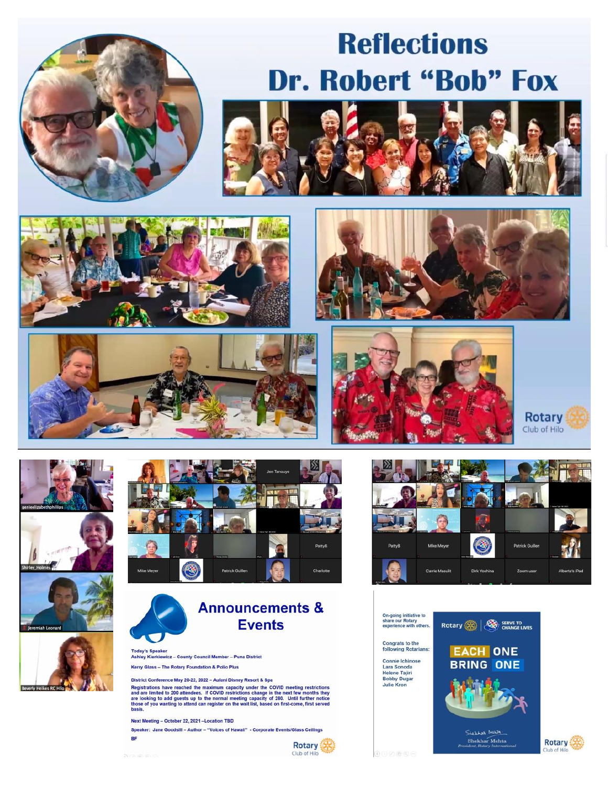

# **Reflections Dr. Robert "Bob" Fox**



















### **Announcements & Events**

Ashley Kierkiewicz - County Council Member - Puna District Kerry Glass - The Rotary Foundation & Polio Plus

District Conference May 20-22, 2022 - Aulani Disney Resort & Spa

and are limited to 200 attended the maximum capacity under the COVID meeting restrictions<br>and are limited to 200 attendees. If COVID restrictions change in the next few months they<br>are looking to add guests up to the norma

Next Meeting - October 22, 2021 - Location TBD

Speaker: Jane Goodsill - Author - "Voices of Hawaii" - Corporate Events/Glass Ceilings BF





Rotary Club of Hilo

**Rotary** 

ub of Hill





**Rotary** 

Club of Hilo